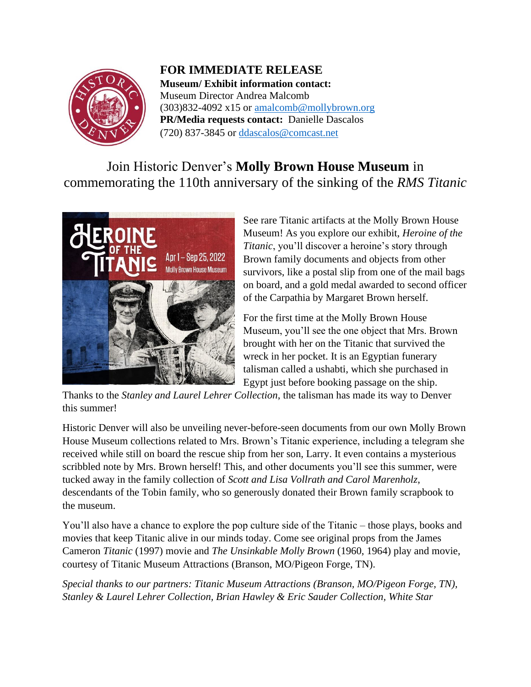

**FOR IMMEDIATE RELEASE Museum/ Exhibit information contact:** Museum Director Andrea Malcomb  $(303)832-4092 \times 15$  or [amalcomb@mollybrown.org](mailto:amalcomb@mollybrown.org) **PR/Media requests contact:** Danielle Dascalos (720) 837-3845 or [ddascalos@comcast.net](mailto:ddascalos@comcast.net)

Join Historic Denver's **Molly Brown House Museum** in commemorating the 110th anniversary of the sinking of the *RMS Titanic*



See rare Titanic artifacts at the Molly Brown House Museum! As you explore our exhibit, *Heroine of the Titanic*, you'll discover a heroine's story through Brown family documents and objects from other survivors, like a postal slip from one of the mail bags on board, and a gold medal awarded to second officer of the Carpathia by Margaret Brown herself.

For the first time at the Molly Brown House Museum, you'll see the one object that Mrs. Brown brought with her on the Titanic that survived the wreck in her pocket. It is an Egyptian funerary talisman called a ushabti, which she purchased in Egypt just before booking passage on the ship.

Thanks to the *Stanley and Laurel Lehrer Collection*, the talisman has made its way to Denver this summer!

Historic Denver will also be unveiling never-before-seen documents from our own Molly Brown House Museum collections related to Mrs. Brown's Titanic experience, including a telegram she received while still on board the rescue ship from her son, Larry. It even contains a mysterious scribbled note by Mrs. Brown herself! This, and other documents you'll see this summer, were tucked away in the family collection of *Scott and Lisa Vollrath and Carol Marenholz*, descendants of the Tobin family, who so generously donated their Brown family scrapbook to the museum.

You'll also have a chance to explore the pop culture side of the Titanic – those plays, books and movies that keep Titanic alive in our minds today. Come see original props from the James Cameron *Titanic* (1997) movie and *The Unsinkable Molly Brown* (1960, 1964) play and movie, courtesy of Titanic Museum Attractions (Branson, MO/Pigeon Forge, TN).

*Special thanks to our partners: Titanic Museum Attractions (Branson, MO/Pigeon Forge, TN), Stanley & Laurel Lehrer Collection, Brian Hawley & Eric Sauder Collection, White Star*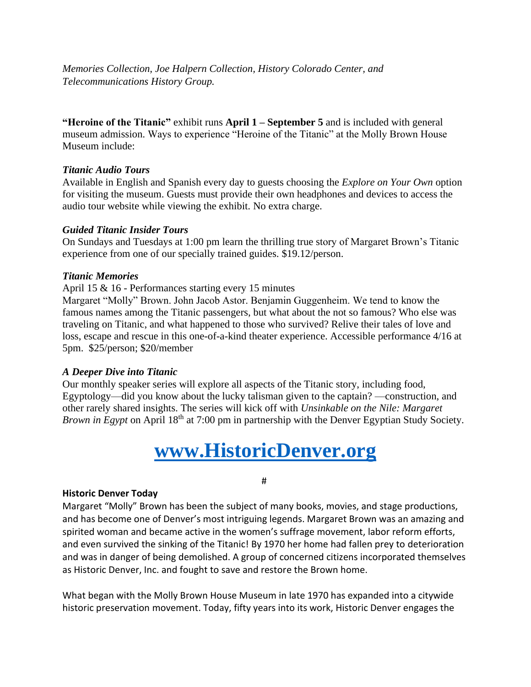*Memories Collection, Joe Halpern Collection, History Colorado Center, and Telecommunications History Group.*

**"Heroine of the Titanic"** exhibit runs **April 1 – September 5** and is included with general museum admission. Ways to experience "Heroine of the Titanic" at the Molly Brown House Museum include:

## *Titanic Audio Tours*

Available in English and Spanish every day to guests choosing the *Explore on Your Own* option for visiting the museum. Guests must provide their own headphones and devices to access the audio tour website while viewing the exhibit. No extra charge.

## *Guided Titanic Insider Tours*

On Sundays and Tuesdays at 1:00 pm learn the thrilling true story of Margaret Brown's Titanic experience from one of our specially trained guides. \$19.12/person.

## *Titanic Memories*

April 15 & 16 - Performances starting every 15 minutes

Margaret "Molly" Brown. John Jacob Astor. Benjamin Guggenheim. We tend to know the famous names among the Titanic passengers, but what about the not so famous? Who else was traveling on Titanic, and what happened to those who survived? Relive their tales of love and loss, escape and rescue in this one-of-a-kind theater experience. Accessible performance 4/16 at 5pm. \$25/person; \$20/member

## *A Deeper Dive into Titanic*

Our monthly speaker series will explore all aspects of the Titanic story, including food, Egyptology—did you know about the lucky talisman given to the captain? —construction, and other rarely shared insights. The series will kick off with *Unsinkable on the Nile: Margaret Brown in Egypt* on April 18<sup>th</sup> at 7:00 pm in partnership with the Denver Egyptian Study Society.

# **[www.HistoricDenver.org](http://www.historicdenver.org/)**

#

## **Historic Denver Today**

Margaret "Molly" Brown has been the subject of many books, movies, and stage productions, and has become one of Denver's most intriguing legends. Margaret Brown was an amazing and spirited woman and became active in the women's suffrage movement, labor reform efforts, and even survived the sinking of the Titanic! By 1970 her home had fallen prey to deterioration and was in danger of being demolished. A group of concerned citizens incorporated themselves as Historic Denver, Inc. and fought to save and restore the Brown home.

What began with the Molly Brown House Museum in late 1970 has expanded into a citywide historic preservation movement. Today, fifty years into its work, Historic Denver engages the